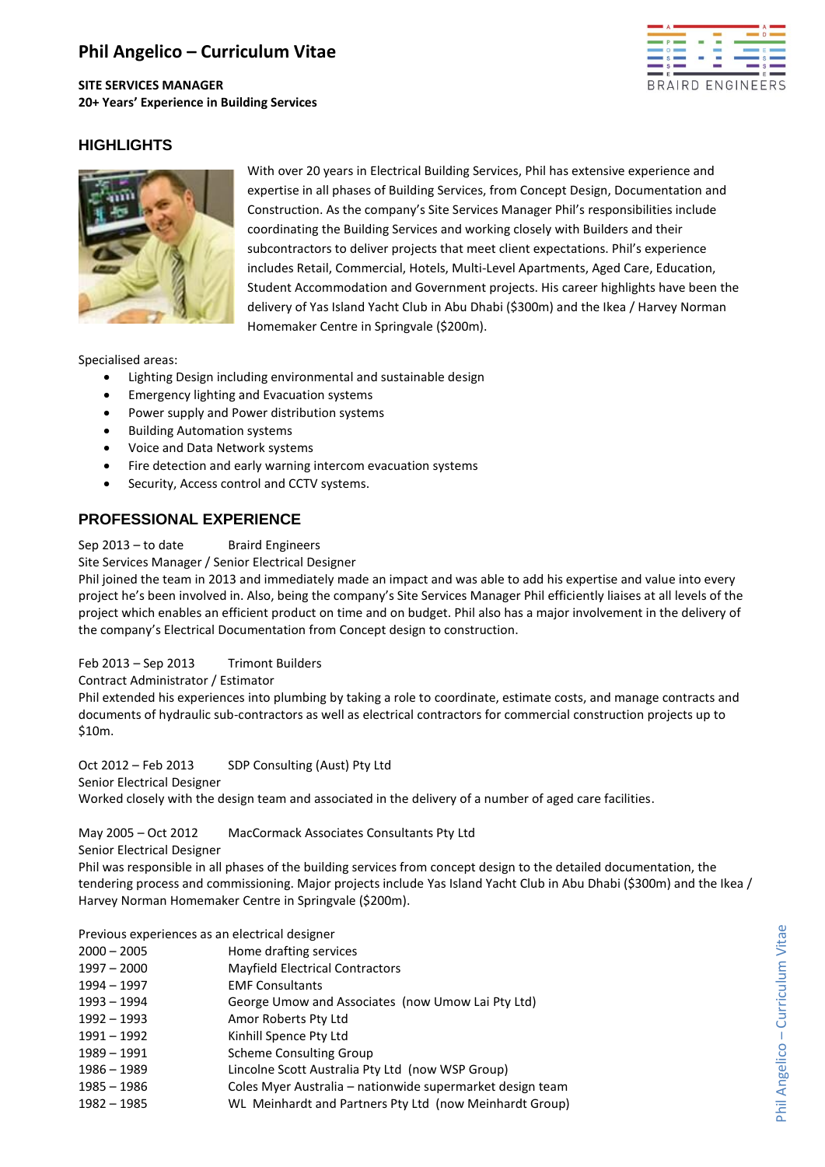# **Phil Angelico – Curriculum Vitae**

**SITE SERVICES MANAGER 20+ Years' Experience in Building Services**



## **HIGHLIGHTS**



With over 20 years in Electrical Building Services, Phil has extensive experience and expertise in all phases of Building Services, from Concept Design, Documentation and Construction. As the company's Site Services Manager Phil's responsibilities include coordinating the Building Services and working closely with Builders and their subcontractors to deliver projects that meet client expectations. Phil's experience includes Retail, Commercial, Hotels, Multi-Level Apartments, Aged Care, Education, Student Accommodation and Government projects. His career highlights have been the delivery of Yas Island Yacht Club in Abu Dhabi (\$300m) and the Ikea / Harvey Norman Homemaker Centre in Springvale (\$200m).

Specialised areas:

- Lighting Design including environmental and sustainable design
- Emergency lighting and Evacuation systems
- Power supply and Power distribution systems
- **•** Building Automation systems
- Voice and Data Network systems
- Fire detection and early warning intercom evacuation systems
- Security, Access control and CCTV systems.

## **PROFESSIONAL EXPERIENCE**

Sep 2013 – to date Braird Engineers

Site Services Manager / Senior Electrical Designer

Phil joined the team in 2013 and immediately made an impact and was able to add his expertise and value into every project he's been involved in. Also, being the company's Site Services Manager Phil efficiently liaises at all levels of the project which enables an efficient product on time and on budget. Phil also has a major involvement in the delivery of the company's Electrical Documentation from Concept design to construction.

Feb 2013 – Sep 2013 Trimont Builders

Contract Administrator / Estimator

Phil extended his experiences into plumbing by taking a role to coordinate, estimate costs, and manage contracts and documents of hydraulic sub-contractors as well as electrical contractors for commercial construction projects up to \$10m.

Oct 2012 – Feb 2013 SDP Consulting (Aust) Pty Ltd Senior Electrical Designer Worked closely with the design team and associated in the delivery of a number of aged care facilities.

## May 2005 – Oct 2012 MacCormack Associates Consultants Pty Ltd

Senior Electrical Designer

Phil was responsible in all phases of the building services from concept design to the detailed documentation, the tendering process and commissioning. Major projects include Yas Island Yacht Club in Abu Dhabi (\$300m) and the Ikea / Harvey Norman Homemaker Centre in Springvale (\$200m).

Previous experiences as an electrical designer

| $2000 - 2005$ | Home drafting services                                    |
|---------------|-----------------------------------------------------------|
| $1997 - 2000$ | <b>Mayfield Electrical Contractors</b>                    |
| $1994 - 1997$ | <b>EMF Consultants</b>                                    |
| 1993 – 1994   | George Umow and Associates (now Umow Lai Pty Ltd)         |
| $1992 - 1993$ | Amor Roberts Pty Ltd                                      |
| $1991 - 1992$ | Kinhill Spence Pty Ltd                                    |
| 1989 – 1991   | <b>Scheme Consulting Group</b>                            |
| $1986 - 1989$ | Lincolne Scott Australia Pty Ltd (now WSP Group)          |
| $1985 - 1986$ | Coles Myer Australia – nationwide supermarket design team |
| $1982 - 1985$ | WL Meinhardt and Partners Pty Ltd (now Meinhardt Group)   |
|               |                                                           |